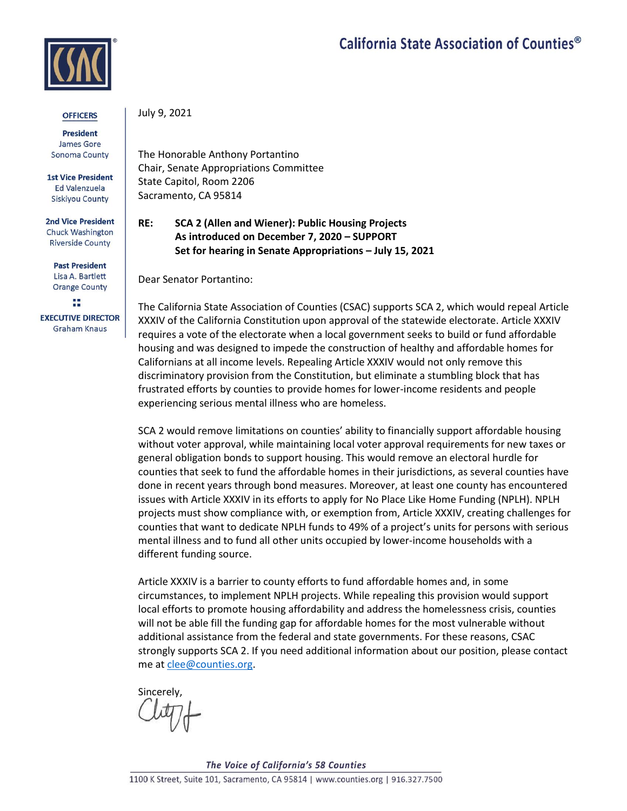## California State Association of Counties<sup>®</sup>



## **OFFICERS**

**President** James Gore Sonoma County

**1st Vice President** Ed Valenzuela **Siskiyou County** 

**2nd Vice President** Chuck Washington **Riverside County** 

**Past President** Lisa A. Bartlett **Orange County** 

w **EXECUTIVE DIRECTOR Graham Knaus** 

July 9, 2021

The Honorable Anthony Portantino Chair, Senate Appropriations Committee State Capitol, Room 2206 Sacramento, CA 95814

## **RE: SCA 2 (Allen and Wiener): Public Housing Projects As introduced on December 7, 2020 – SUPPORT Set for hearing in Senate Appropriations – July 15, 2021**

Dear Senator Portantino:

The California State Association of Counties (CSAC) supports SCA 2, which would repeal Article XXXIV of the California Constitution upon approval of the statewide electorate. Article XXXIV requires a vote of the electorate when a local government seeks to build or fund affordable housing and was designed to impede the construction of healthy and affordable homes for Californians at all income levels. Repealing Article XXXIV would not only remove this discriminatory provision from the Constitution, but eliminate a stumbling block that has frustrated efforts by counties to provide homes for lower-income residents and people experiencing serious mental illness who are homeless.

SCA 2 would remove limitations on counties' ability to financially support affordable housing without voter approval, while maintaining local voter approval requirements for new taxes or general obligation bonds to support housing. This would remove an electoral hurdle for counties that seek to fund the affordable homes in their jurisdictions, as several counties have done in recent years through bond measures. Moreover, at least one county has encountered issues with Article XXXIV in its efforts to apply for No Place Like Home Funding (NPLH). NPLH projects must show compliance with, or exemption from, Article XXXIV, creating challenges for counties that want to dedicate NPLH funds to 49% of a project's units for persons with serious mental illness and to fund all other units occupied by lower-income households with a different funding source.

Article XXXIV is a barrier to county efforts to fund affordable homes and, in some circumstances, to implement NPLH projects. While repealing this provision would support local efforts to promote housing affordability and address the homelessness crisis, counties will not be able fill the funding gap for affordable homes for the most vulnerable without additional assistance from the federal and state governments. For these reasons, CSAC strongly supports SCA 2. If you need additional information about our position, please contact me at [clee@counties.org.](mailto:clee@counties.org)

Sincerely,